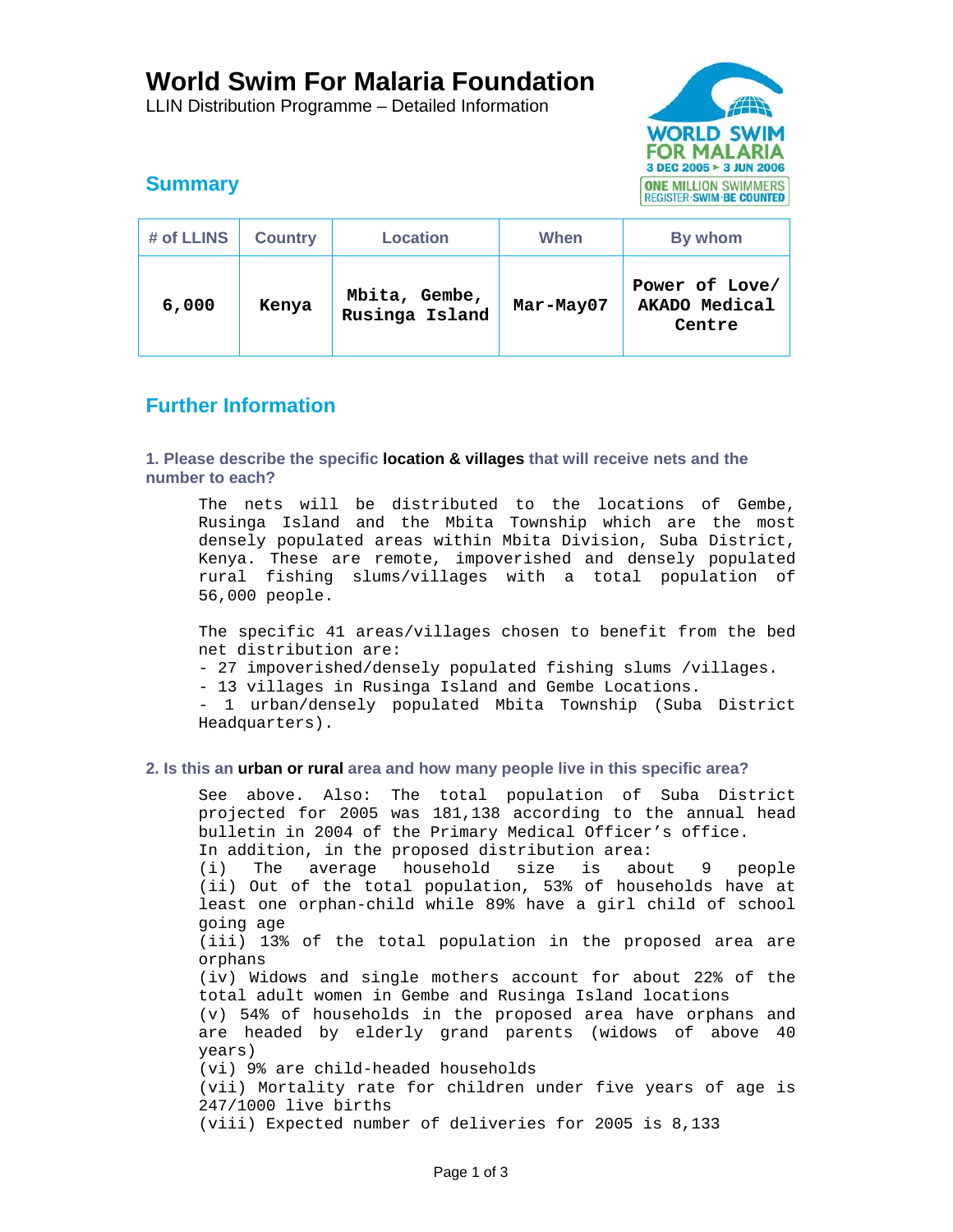# **World Swim For Malaria Foundation**

LLIN Distribution Programme – Detailed Information



# **Summary**

| # of LLINS | <b>Country</b> | <b>Location</b>                 | When      | By whom                                   |
|------------|----------------|---------------------------------|-----------|-------------------------------------------|
| 6,000      | Kenya          | Mbita, Gembe,<br>Rusinga Island | Mar-May07 | Power of Love/<br>AKADO Medical<br>Centre |

# **Further Information**

# **1. Please describe the specific location & villages that will receive nets and the number to each?**

The nets will be distributed to the locations of Gembe, Rusinga Island and the Mbita Township which are the most densely populated areas within Mbita Division, Suba District, Kenya. These are remote, impoverished and densely populated rural fishing slums/villages with a total population of 56,000 people.

The specific 41 areas/villages chosen to benefit from the bed net distribution are:

- 27 impoverished/densely populated fishing slums /villages.
- 13 villages in Rusinga Island and Gembe Locations.

- 1 urban/densely populated Mbita Township (Suba District Headquarters).

## **2. Is this an urban or rural area and how many people live in this specific area?**

See above. Also: The total population of Suba District projected for 2005 was 181,138 according to the annual head bulletin in 2004 of the Primary Medical Officer's office. In addition, in the proposed distribution area: (i) The average household size is about 9 people (ii) Out of the total population, 53% of households have at least one orphan-child while 89% have a girl child of school going age (iii) 13% of the total population in the proposed area are orphans (iv) Widows and single mothers account for about 22% of the total adult women in Gembe and Rusinga Island locations (v) 54% of households in the proposed area have orphans and are headed by elderly grand parents (widows of above 40 years) (vi) 9% are child-headed households (vii) Mortality rate for children under five years of age is 247/1000 live births (viii) Expected number of deliveries for 2005 is 8,133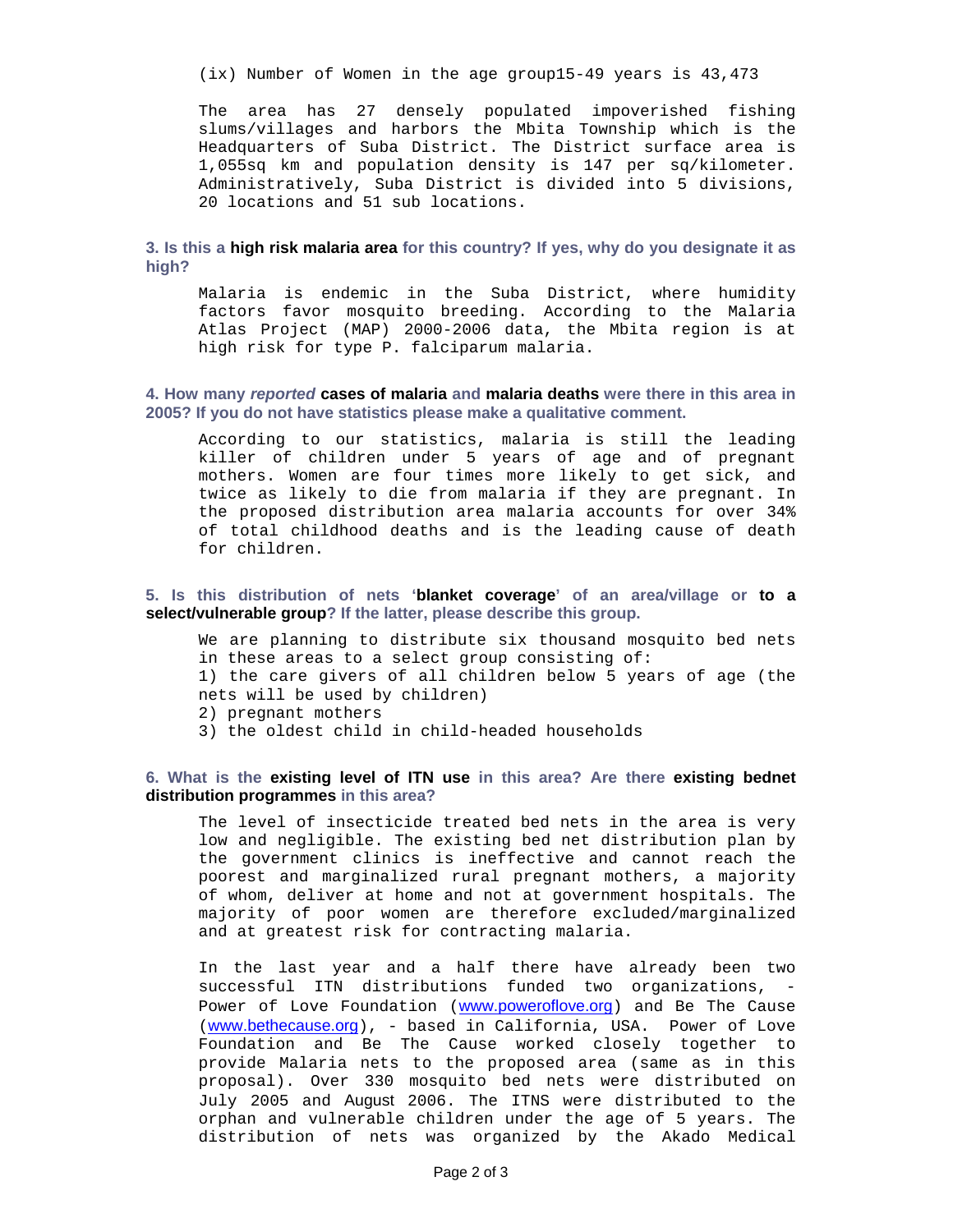(ix) Number of Women in the age group15-49 years is 43,473

The area has 27 densely populated impoverished fishing slums/villages and harbors the Mbita Township which is the Headquarters of Suba District. The District surface area is 1,055sq km and population density is 147 per sq/kilometer. Administratively, Suba District is divided into 5 divisions, 20 locations and 51 sub locations.

## **3. Is this a high risk malaria area for this country? If yes, why do you designate it as high?**

Malaria is endemic in the Suba District, where humidity factors favor mosquito breeding. According to the Malaria Atlas Project (MAP) 2000-2006 data, the Mbita region is at high risk for type P. falciparum malaria.

#### **4. How many** *reported* **cases of malaria and malaria deaths were there in this area in 2005? If you do not have statistics please make a qualitative comment.**

According to our statistics, malaria is still the leading killer of children under 5 years of age and of pregnant mothers. Women are four times more likely to get sick, and twice as likely to die from malaria if they are pregnant. In the proposed distribution area malaria accounts for over 34% of total childhood deaths and is the leading cause of death for children.

#### **5. Is this distribution of nets 'blanket coverage' of an area/village or to a select/vulnerable group? If the latter, please describe this group.**

We are planning to distribute six thousand mosquito bed nets in these areas to a select group consisting of: 1) the care givers of all children below 5 years of age (the nets will be used by children) 2) pregnant mothers 3) the oldest child in child-headed households

## **6. What is the existing level of ITN use in this area? Are there existing bednet distribution programmes in this area?**

The level of insecticide treated bed nets in the area is very low and negligible. The existing bed net distribution plan by the government clinics is ineffective and cannot reach the poorest and marginalized rural pregnant mothers, a majority of whom, deliver at home and not at government hospitals. The majority of poor women are therefore excluded/marginalized and at greatest risk for contracting malaria.

In the last year and a half there have already been two successful ITN distributions funded two organizations, - Power of Love Foundation (www.poweroflove.org) and Be The Cause (www.bethecause.org), - based in California, USA. Power of Love Foundation and Be The Cause worked closely together to provide Malaria nets to the proposed area (same as in this proposal). Over 330 mosquito bed nets were distributed on July 2005 and August 2006. The ITNS were distributed to the orphan and vulnerable children under the age of 5 years. The distribution of nets was organized by the Akado Medical